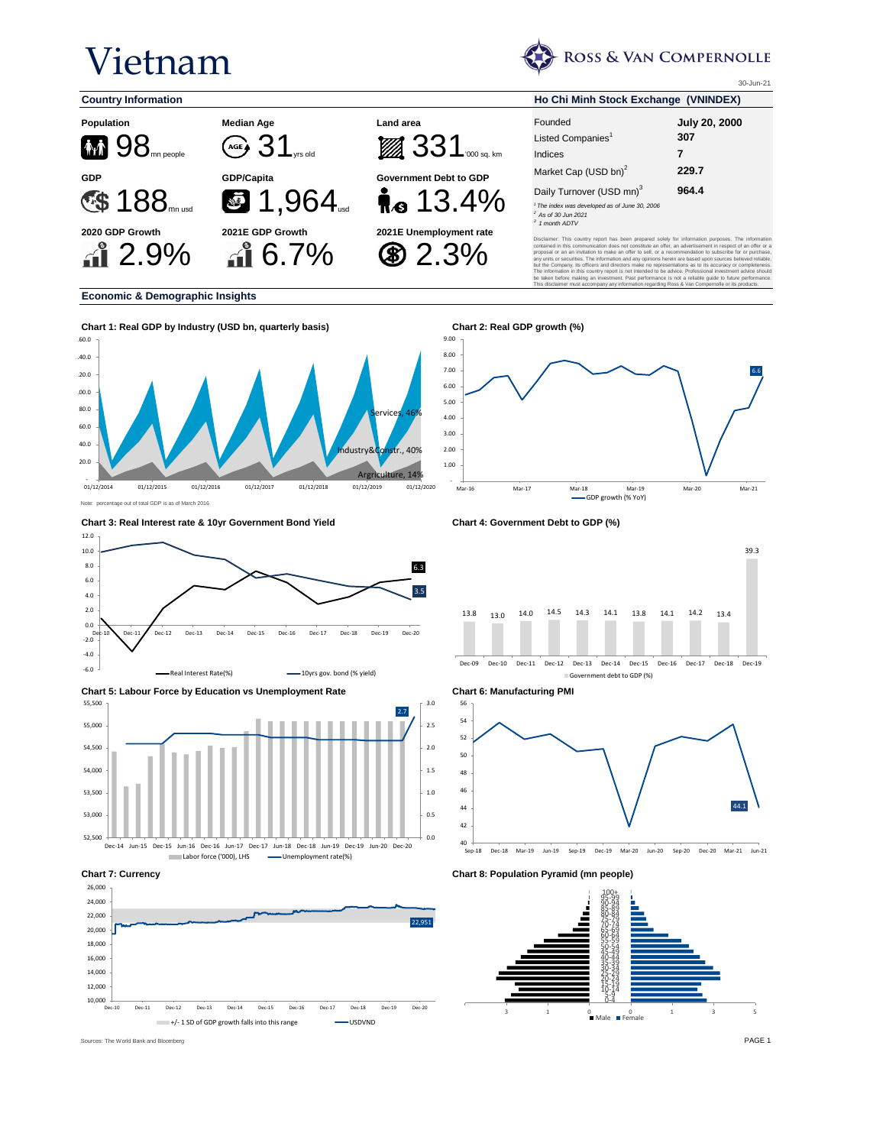# Vietnam



This disclaimer must accompany any information regarding Ross & Van Compernolle or its products.

30-Jun-21

6.6



### **Economic & Demographic Insights**



-



Mar-16 Mar-17 Mar-18 Mar-19 Mar-20 Mar-21 --<br>GDP growth (% YoY)

 $\sim$ 

Dec-09 Dec-10 Dec-11 Dec-12 Dec-13 Dec-14 Dec-15 Dec-16 Dec-17 Dec-18 Dec-19 Government debt to GDP (%)



**Chart 7: Currency Chart 8: Population Pyramid (mn people)**



**Chart 3: Real Interest rate & 10yr Government Bond Yield Chart 4: Government Debt to GDP (%)**





2.7 0.0 0.5 1.0 1.5 2.0 2.5 3.0 52,500 53,000 53,500 54,000 54,500 55,000 55,500 Dec-14 Jun-15 Dec-15 Jun-16 Dec-16 Jun-17 Dec-17 Jun-18 Dec-18 Jun-19 Dec-19 Jun-20 Dec-20 Labor force ('000), LHS - Unemployment rate(%)